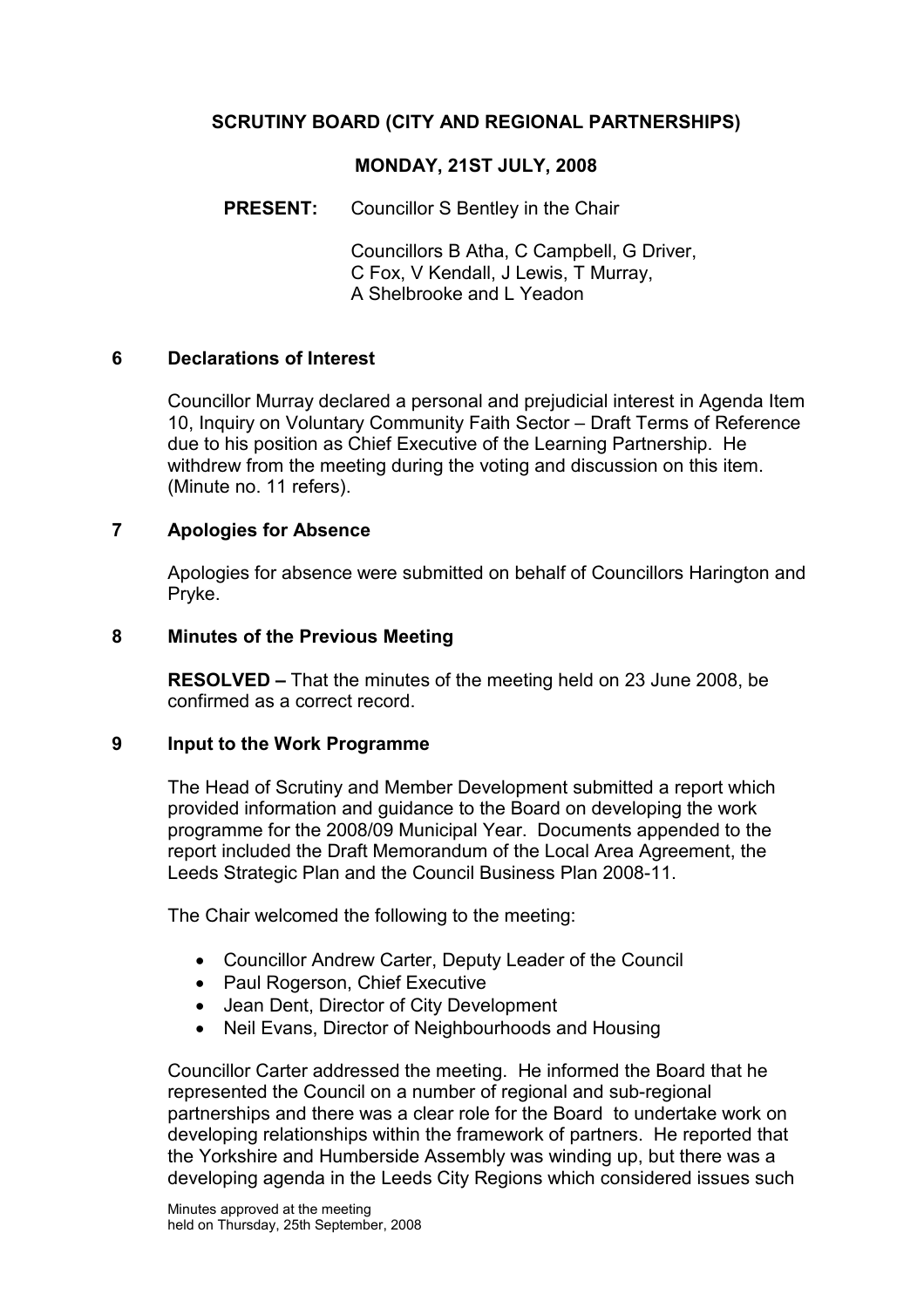# SCRUTINY BOARD (CITY AND REGIONAL PARTNERSHIPS)

#### MONDAY, 21ST JULY, 2008

PRESENT: Councillor S Bentley in the Chair

 Councillors B Atha, C Campbell, G Driver, C Fox, V Kendall, J Lewis, T Murray, A Shelbrooke and L Yeadon

#### 6 Declarations of Interest

Councillor Murray declared a personal and prejudicial interest in Agenda Item 10, Inquiry on Voluntary Community Faith Sector – Draft Terms of Reference due to his position as Chief Executive of the Learning Partnership. He withdrew from the meeting during the voting and discussion on this item. (Minute no. 11 refers).

#### 7 Apologies for Absence

Apologies for absence were submitted on behalf of Councillors Harington and Pryke.

#### 8 Minutes of the Previous Meeting

RESOLVED – That the minutes of the meeting held on 23 June 2008, be confirmed as a correct record.

#### 9 Input to the Work Programme

The Head of Scrutiny and Member Development submitted a report which provided information and guidance to the Board on developing the work programme for the 2008/09 Municipal Year. Documents appended to the report included the Draft Memorandum of the Local Area Agreement, the Leeds Strategic Plan and the Council Business Plan 2008-11.

The Chair welcomed the following to the meeting:

- Councillor Andrew Carter, Deputy Leader of the Council
- Paul Rogerson, Chief Executive
- Jean Dent, Director of City Development
- Neil Evans, Director of Neighbourhoods and Housing

Councillor Carter addressed the meeting. He informed the Board that he represented the Council on a number of regional and sub-regional partnerships and there was a clear role for the Board to undertake work on developing relationships within the framework of partners. He reported that the Yorkshire and Humberside Assembly was winding up, but there was a developing agenda in the Leeds City Regions which considered issues such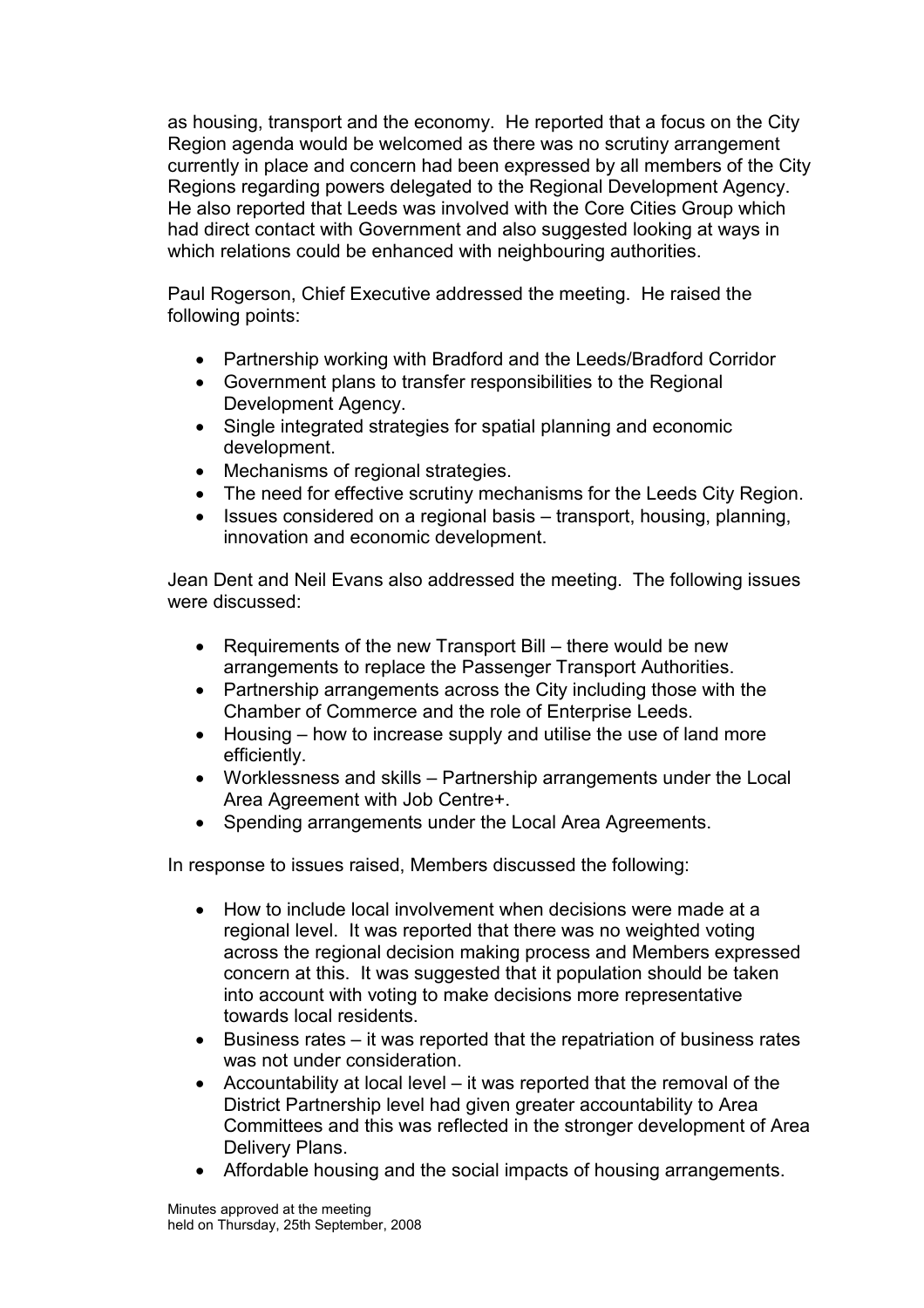as housing, transport and the economy. He reported that a focus on the City Region agenda would be welcomed as there was no scrutiny arrangement currently in place and concern had been expressed by all members of the City Regions regarding powers delegated to the Regional Development Agency. He also reported that Leeds was involved with the Core Cities Group which had direct contact with Government and also suggested looking at ways in which relations could be enhanced with neighbouring authorities.

Paul Rogerson, Chief Executive addressed the meeting. He raised the following points:

- Partnership working with Bradford and the Leeds/Bradford Corridor
- Government plans to transfer responsibilities to the Regional Development Agency.
- Single integrated strategies for spatial planning and economic development.
- Mechanisms of regional strategies.
- The need for effective scrutiny mechanisms for the Leeds City Region.
- Issues considered on a regional basis transport, housing, planning, innovation and economic development.

Jean Dent and Neil Evans also addressed the meeting. The following issues were discussed:

- Requirements of the new Transport Bill there would be new arrangements to replace the Passenger Transport Authorities.
- Partnership arrangements across the City including those with the Chamber of Commerce and the role of Enterprise Leeds.
- Housing how to increase supply and utilise the use of land more efficiently.
- Worklessness and skills Partnership arrangements under the Local Area Agreement with Job Centre+.
- Spending arrangements under the Local Area Agreements.

In response to issues raised, Members discussed the following:

- How to include local involvement when decisions were made at a regional level. It was reported that there was no weighted voting across the regional decision making process and Members expressed concern at this. It was suggested that it population should be taken into account with voting to make decisions more representative towards local residents.
- Business rates it was reported that the repatriation of business rates was not under consideration.
- Accountability at local level it was reported that the removal of the District Partnership level had given greater accountability to Area Committees and this was reflected in the stronger development of Area Delivery Plans.
- Affordable housing and the social impacts of housing arrangements.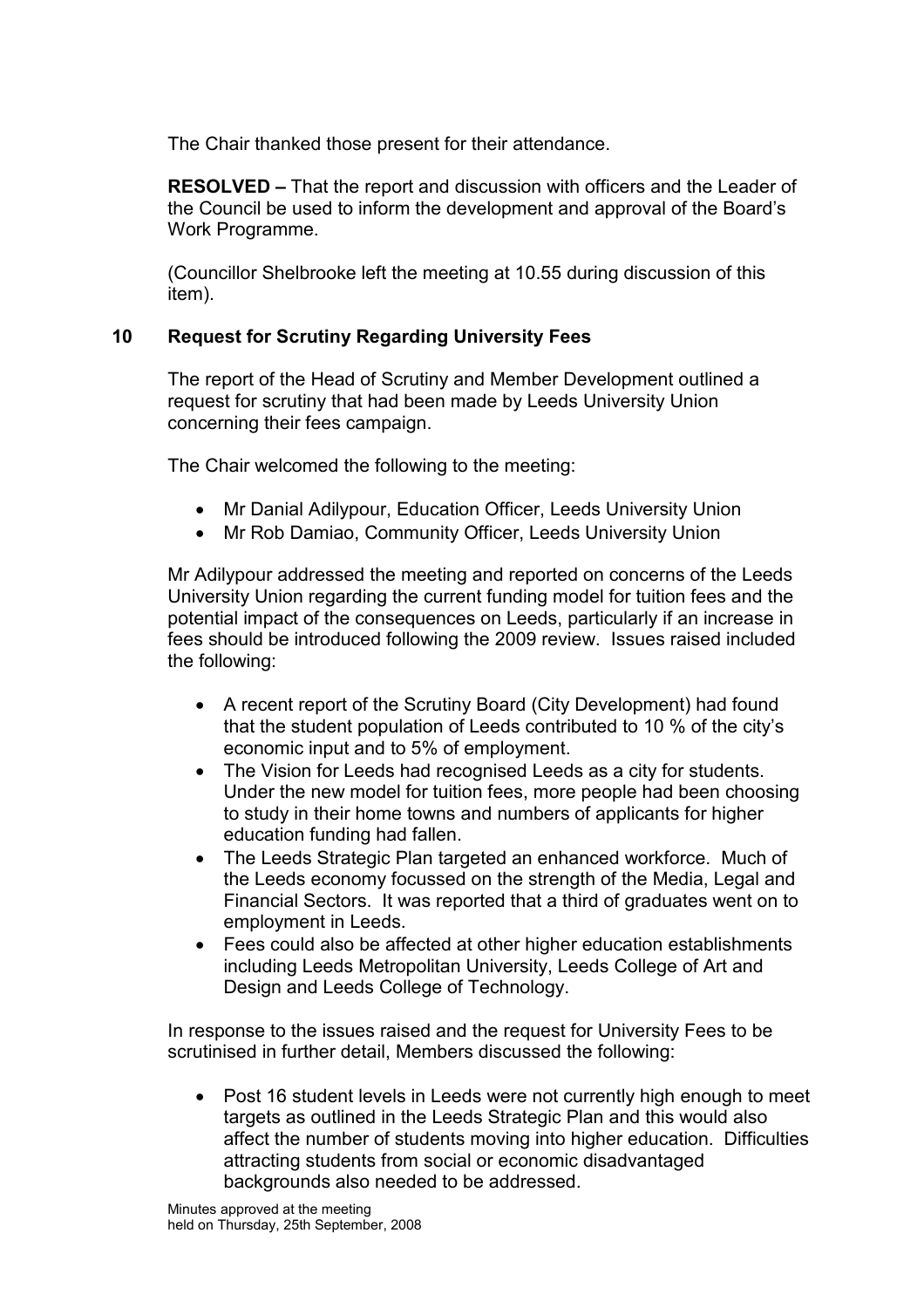The Chair thanked those present for their attendance.

RESOLVED – That the report and discussion with officers and the Leader of the Council be used to inform the development and approval of the Board's Work Programme.

(Councillor Shelbrooke left the meeting at 10.55 during discussion of this item).

## 10 Request for Scrutiny Regarding University Fees

The report of the Head of Scrutiny and Member Development outlined a request for scrutiny that had been made by Leeds University Union concerning their fees campaign.

The Chair welcomed the following to the meeting:

- Mr Danial Adilypour, Education Officer, Leeds University Union
- Mr Rob Damiao, Community Officer, Leeds University Union

Mr Adilypour addressed the meeting and reported on concerns of the Leeds University Union regarding the current funding model for tuition fees and the potential impact of the consequences on Leeds, particularly if an increase in fees should be introduced following the 2009 review. Issues raised included the following:

- A recent report of the Scrutiny Board (City Development) had found that the student population of Leeds contributed to 10 % of the city's economic input and to 5% of employment.
- The Vision for Leeds had recognised Leeds as a city for students. Under the new model for tuition fees, more people had been choosing to study in their home towns and numbers of applicants for higher education funding had fallen.
- The Leeds Strategic Plan targeted an enhanced workforce. Much of the Leeds economy focussed on the strength of the Media, Legal and Financial Sectors. It was reported that a third of graduates went on to employment in Leeds.
- Fees could also be affected at other higher education establishments including Leeds Metropolitan University, Leeds College of Art and Design and Leeds College of Technology.

In response to the issues raised and the request for University Fees to be scrutinised in further detail, Members discussed the following:

• Post 16 student levels in Leeds were not currently high enough to meet targets as outlined in the Leeds Strategic Plan and this would also affect the number of students moving into higher education. Difficulties attracting students from social or economic disadvantaged backgrounds also needed to be addressed.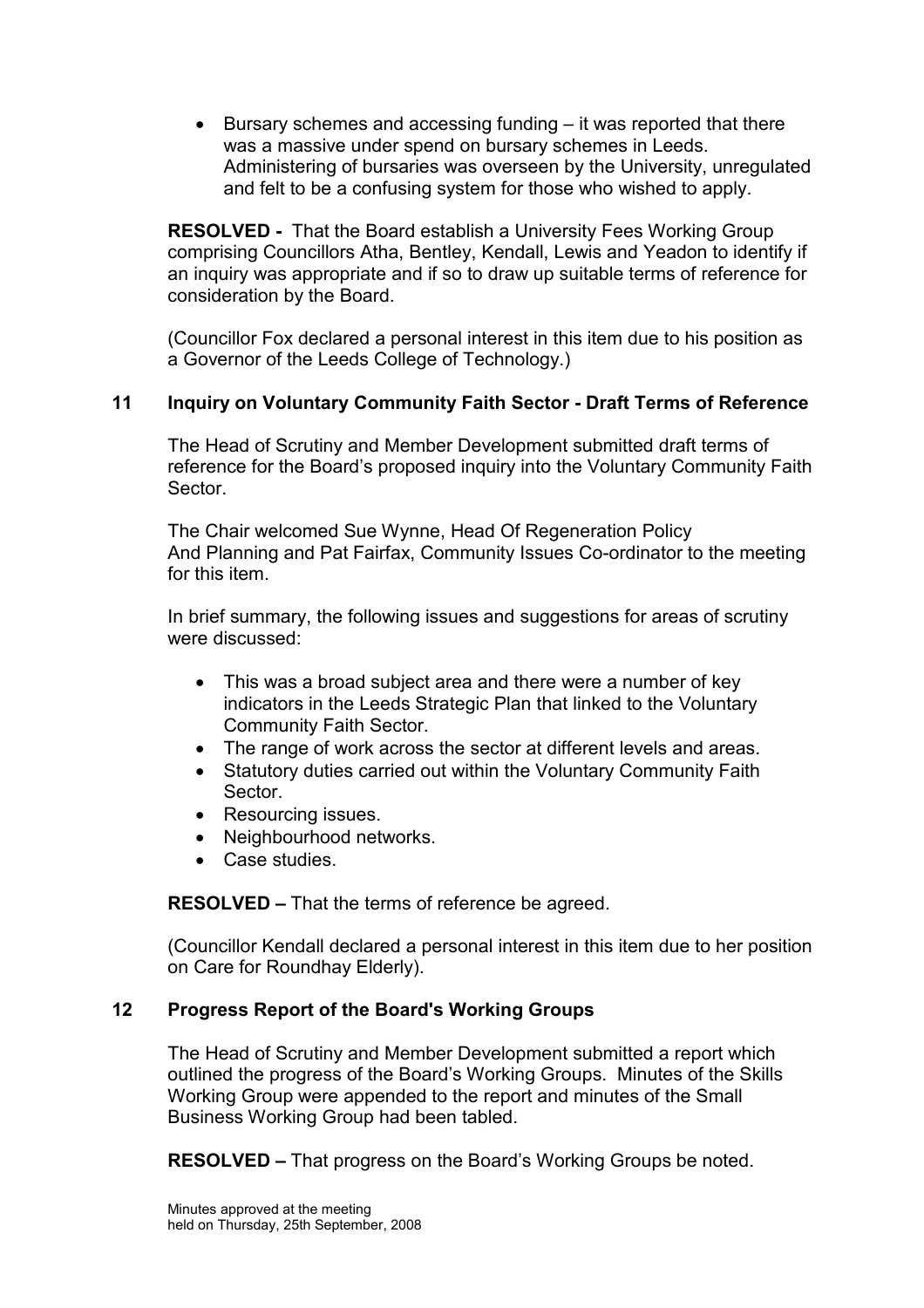• Bursary schemes and accessing funding – it was reported that there was a massive under spend on bursary schemes in Leeds. Administering of bursaries was overseen by the University, unregulated and felt to be a confusing system for those who wished to apply.

RESOLVED - That the Board establish a University Fees Working Group comprising Councillors Atha, Bentley, Kendall, Lewis and Yeadon to identify if an inquiry was appropriate and if so to draw up suitable terms of reference for consideration by the Board.

(Councillor Fox declared a personal interest in this item due to his position as a Governor of the Leeds College of Technology.)

# 11 Inquiry on Voluntary Community Faith Sector - Draft Terms of Reference

The Head of Scrutiny and Member Development submitted draft terms of reference for the Board's proposed inquiry into the Voluntary Community Faith **Sector** 

The Chair welcomed Sue Wynne, Head Of Regeneration Policy And Planning and Pat Fairfax, Community Issues Co-ordinator to the meeting for this item.

In brief summary, the following issues and suggestions for areas of scrutiny were discussed:

- This was a broad subject area and there were a number of key indicators in the Leeds Strategic Plan that linked to the Voluntary Community Faith Sector.
- The range of work across the sector at different levels and areas.
- Statutory duties carried out within the Voluntary Community Faith Sector.
- Resourcing issues.
- Neighbourhood networks.
- Case studies.

RESOLVED – That the terms of reference be agreed.

(Councillor Kendall declared a personal interest in this item due to her position on Care for Roundhay Elderly).

## 12 Progress Report of the Board's Working Groups

The Head of Scrutiny and Member Development submitted a report which outlined the progress of the Board's Working Groups. Minutes of the Skills Working Group were appended to the report and minutes of the Small Business Working Group had been tabled.

RESOLVED – That progress on the Board's Working Groups be noted.